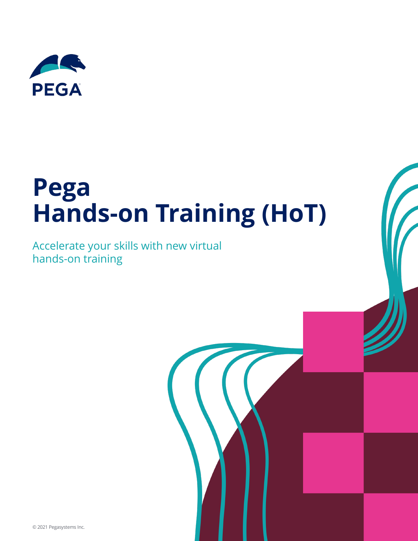

# **Pega Hands-on Training (HoT)**

Accelerate your skills with new virtual hands-on training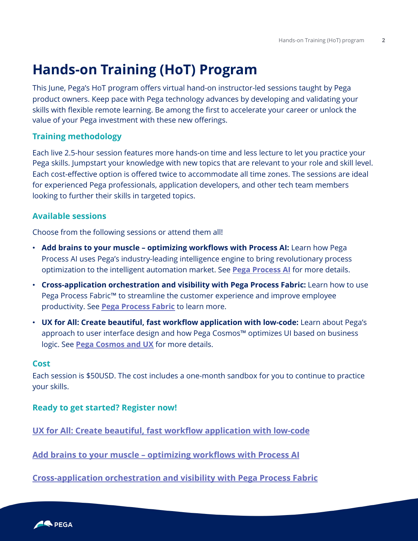### **Hands-on Training (HoT) Program**

This June, Pega's HoT program offers virtual hand-on instructor-led sessions taught by Pega product owners. Keep pace with Pega technology advances by developing and validating your skills with flexible remote learning. Be among the first to accelerate your career or unlock the value of your Pega investment with these new offerings.

#### **Training methodology**

Each live 2.5-hour session features more hands-on time and less lecture to let you practice your Pega skills. Jumpstart your knowledge with new topics that are relevant to your role and skill level. Each cost-effective option is offered twice to accommodate all time zones. The sessions are ideal for experienced Pega professionals, application developers, and other tech team members looking to further their skills in targeted topics.

#### **Available sessions**

Choose from the following sessions or attend them all!

- **Add brains to your muscle – optimizing workflows with Process AI:** Learn how Pega Process AI uses Pega's industry-leading intelligence engine to bring revolutionary process optimization to the intelligent automation market. See **[Pega Process AI](#page-2-0)** for more details.
- **Cross-application orchestration and visibility with Pega Process Fabric:** Learn how to use Pega Process Fabric<sup>™</sup> to streamline the customer experience and improve employee productivity. See **[Pega Process Fabric](#page-3-0)** to learn more.
- **UX for All: Create beautiful, fast workflow application with low-code:** Learn about Pega's approach to user interface design and how Pega Cosmos™ optimizes UI based on business logic. See **[Pega Cosmos and UX](#page-4-0)** for more details.

#### **Cost**

Each session is \$50USD. The cost includes a one-month sandbox for you to continue to practice your skills.

#### **Ready to get started? Register now!**

**[UX for All: Create beautiful, fast workflow application with low-code](https://academy.pega.com/class-schedule?CourseID=CRS-423)**

**Add brains to your muscle – [optimizing workflows with Process AI](https://academy.pega.com/class-schedule?CourseID=CRS-424)** 

**[Cross-application orchestration and visibility with Pega Process Fabric](https://academy.pega.com/class-schedule?CourseID=CRS-422)**

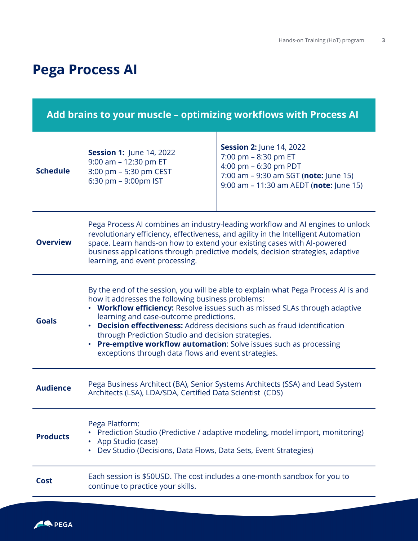## <span id="page-2-0"></span>**Pega Process AI**

| Add brains to your muscle - optimizing workflows with Process AI |                                                                                                                                                                                                                                                                                                                                                                                                                                                                                                                                               |                                                                                                                                                                      |  |  |
|------------------------------------------------------------------|-----------------------------------------------------------------------------------------------------------------------------------------------------------------------------------------------------------------------------------------------------------------------------------------------------------------------------------------------------------------------------------------------------------------------------------------------------------------------------------------------------------------------------------------------|----------------------------------------------------------------------------------------------------------------------------------------------------------------------|--|--|
| <b>Schedule</b>                                                  | <b>Session 1: June 14, 2022</b><br>9:00 am - 12:30 pm ET<br>3:00 pm - 5:30 pm CEST<br>6:30 pm - 9:00pm IST                                                                                                                                                                                                                                                                                                                                                                                                                                    | <b>Session 2: June 14, 2022</b><br>7:00 pm - 8:30 pm ET<br>4:00 pm - 6:30 pm PDT<br>7:00 am - 9:30 am SGT (note: June 15)<br>9:00 am - 11:30 am AEDT (note: June 15) |  |  |
| <b>Overview</b>                                                  | Pega Process AI combines an industry-leading workflow and AI engines to unlock<br>revolutionary efficiency, effectiveness, and agility in the Intelligent Automation<br>space. Learn hands-on how to extend your existing cases with AI-powered<br>business applications through predictive models, decision strategies, adaptive<br>learning, and event processing.                                                                                                                                                                          |                                                                                                                                                                      |  |  |
| <b>Goals</b>                                                     | By the end of the session, you will be able to explain what Pega Process AI is and<br>how it addresses the following business problems:<br><b>Workflow efficiency:</b> Resolve issues such as missed SLAs through adaptive<br>learning and case-outcome predictions.<br><b>Decision effectiveness:</b> Address decisions such as fraud identification<br>through Prediction Studio and decision strategies.<br><b>Pre-emptive workflow automation:</b> Solve issues such as processing<br>exceptions through data flows and event strategies. |                                                                                                                                                                      |  |  |
| <b>Audience</b>                                                  | Pega Business Architect (BA), Senior Systems Architects (SSA) and Lead System<br>Architects (LSA), LDA/SDA, Certified Data Scientist (CDS)                                                                                                                                                                                                                                                                                                                                                                                                    |                                                                                                                                                                      |  |  |
| <b>Products</b>                                                  | Pega Platform:<br>Prediction Studio (Predictive / adaptive modeling, model import, monitoring)<br>App Studio (case)<br>Dev Studio (Decisions, Data Flows, Data Sets, Event Strategies)                                                                                                                                                                                                                                                                                                                                                        |                                                                                                                                                                      |  |  |
| <b>Cost</b>                                                      | Each session is \$50USD. The cost includes a one-month sandbox for you to<br>continue to practice your skills.                                                                                                                                                                                                                                                                                                                                                                                                                                |                                                                                                                                                                      |  |  |

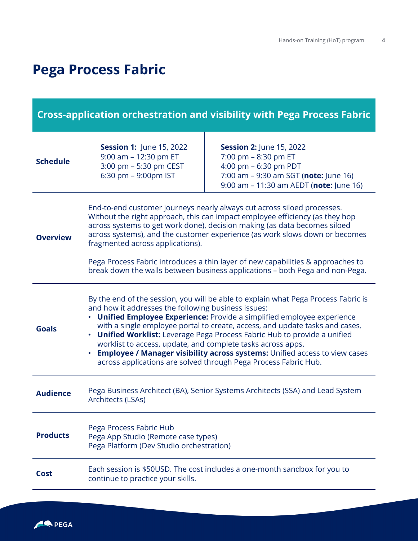### <span id="page-3-0"></span>**Pega Process Fabric**

### **Cross-application orchestration and visibility with Pega Process Fabric**

| <b>Schedule</b> | <b>Session 1: June 15, 2022</b><br>9:00 am - 12:30 pm ET<br>3:00 pm - 5:30 pm CEST<br>6:30 pm - 9:00pm IST                                                                                                                                                                                                                                                                                                                                                                                                                                                                                          | <b>Session 2: June 15, 2022</b><br>7:00 pm - 8:30 pm ET<br>4:00 pm - 6:30 pm PDT<br>7:00 am - 9:30 am SGT (note: June 16)<br>9:00 am - 11:30 am AEDT (note: June 16) |
|-----------------|-----------------------------------------------------------------------------------------------------------------------------------------------------------------------------------------------------------------------------------------------------------------------------------------------------------------------------------------------------------------------------------------------------------------------------------------------------------------------------------------------------------------------------------------------------------------------------------------------------|----------------------------------------------------------------------------------------------------------------------------------------------------------------------|
| <b>Overview</b> | End-to-end customer journeys nearly always cut across siloed processes.<br>Without the right approach, this can impact employee efficiency (as they hop<br>across systems to get work done), decision making (as data becomes siloed<br>across systems), and the customer experience (as work slows down or becomes<br>fragmented across applications).<br>Pega Process Fabric introduces a thin layer of new capabilities & approaches to<br>break down the walls between business applications - both Pega and non-Pega.                                                                          |                                                                                                                                                                      |
| <b>Goals</b>    | By the end of the session, you will be able to explain what Pega Process Fabric is<br>and how it addresses the following business issues:<br>• Unified Employee Experience: Provide a simplified employee experience<br>with a single employee portal to create, access, and update tasks and cases.<br>• Unified Worklist: Leverage Pega Process Fabric Hub to provide a unified<br>worklist to access, update, and complete tasks across apps.<br>• Employee / Manager visibility across systems: Unified access to view cases<br>across applications are solved through Pega Process Fabric Hub. |                                                                                                                                                                      |
| <b>Audience</b> | Pega Business Architect (BA), Senior Systems Architects (SSA) and Lead System<br>Architects (LSAs)                                                                                                                                                                                                                                                                                                                                                                                                                                                                                                  |                                                                                                                                                                      |
| <b>Products</b> | Pega Process Fabric Hub<br>Pega App Studio (Remote case types)<br>Pega Platform (Dev Studio orchestration)                                                                                                                                                                                                                                                                                                                                                                                                                                                                                          |                                                                                                                                                                      |
| <b>Cost</b>     | Each session is \$50USD. The cost includes a one-month sandbox for you to<br>continue to practice your skills.                                                                                                                                                                                                                                                                                                                                                                                                                                                                                      |                                                                                                                                                                      |

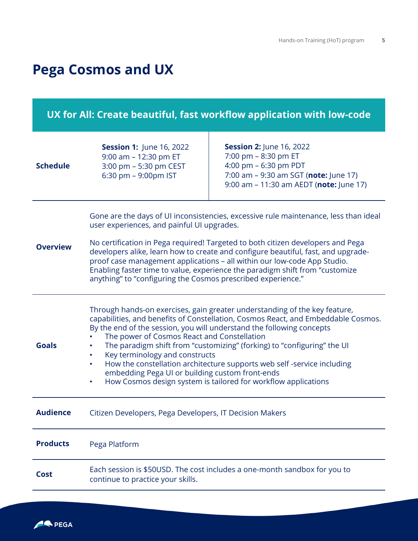### <span id="page-4-0"></span>**Pega Cosmos and UX**

### **UX for All: Create beautiful, fast workflow application with low-code**

| <b>Schedule</b> | <b>Session 1: June 16, 2022</b><br>9:00 am - 12:30 pm ET<br>3:00 pm - 5:30 pm CEST<br>6:30 pm - 9:00pm IST                                                                                                                                                                                                                                                                                                                                                                                                                                                                                                                     | <b>Session 2: June 16, 2022</b><br>7:00 pm - 8:30 pm ET<br>4:00 pm - 6:30 pm PDT<br>7:00 am - 9:30 am SGT (note: June 17)<br>9:00 am - 11:30 am AEDT (note: June 17) |
|-----------------|--------------------------------------------------------------------------------------------------------------------------------------------------------------------------------------------------------------------------------------------------------------------------------------------------------------------------------------------------------------------------------------------------------------------------------------------------------------------------------------------------------------------------------------------------------------------------------------------------------------------------------|----------------------------------------------------------------------------------------------------------------------------------------------------------------------|
| <b>Overview</b> | Gone are the days of UI inconsistencies, excessive rule maintenance, less than ideal<br>user experiences, and painful UI upgrades.<br>No certification in Pega required! Targeted to both citizen developers and Pega<br>developers alike, learn how to create and configure beautiful, fast, and upgrade-<br>proof case management applications - all within our low-code App Studio.<br>Enabling faster time to value, experience the paradigm shift from "customize<br>anything" to "configuring the Cosmos prescribed experience."                                                                                         |                                                                                                                                                                      |
| <b>Goals</b>    | Through hands-on exercises, gain greater understanding of the key feature,<br>capabilities, and benefits of Constellation, Cosmos React, and Embeddable Cosmos.<br>By the end of the session, you will understand the following concepts<br>The power of Cosmos React and Constellation<br>The paradigm shift from "customizing" (forking) to "configuring" the UI<br>Key terminology and constructs<br>How the constellation architecture supports web self -service including<br>$\bullet$<br>embedding Pega UI or building custom front-ends<br>How Cosmos design system is tailored for workflow applications<br>$\bullet$ |                                                                                                                                                                      |
| <b>Audience</b> | Citizen Developers, Pega Developers, IT Decision Makers                                                                                                                                                                                                                                                                                                                                                                                                                                                                                                                                                                        |                                                                                                                                                                      |
| <b>Products</b> | Pega Platform                                                                                                                                                                                                                                                                                                                                                                                                                                                                                                                                                                                                                  |                                                                                                                                                                      |
| Cost            | Each session is \$50USD. The cost includes a one-month sandbox for you to<br>continue to practice your skills.                                                                                                                                                                                                                                                                                                                                                                                                                                                                                                                 |                                                                                                                                                                      |